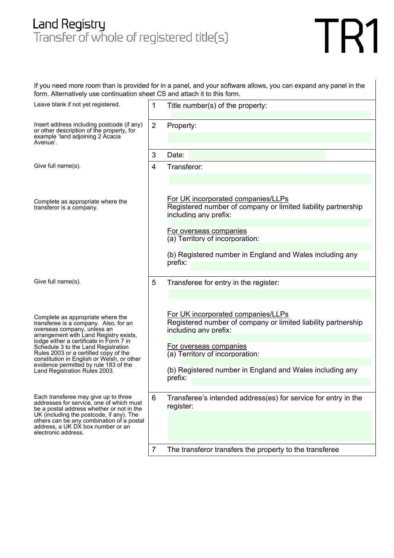## Land Registry<br>Transfer of whole of registered title(s)

## TR1

If you need more room than is provided for in a panel, and your software allows, you can expand any panel in the form. Alternatively use continuation sheet CS and attach it to this form.

| Leave blank if not yet registered.                                                                                                                                                                                                                                                                                           | 1              | Title number(s) of the property:                                                                                             |
|------------------------------------------------------------------------------------------------------------------------------------------------------------------------------------------------------------------------------------------------------------------------------------------------------------------------------|----------------|------------------------------------------------------------------------------------------------------------------------------|
| Insert address including postcode (if any)<br>or other description of the property, for<br>example 'land adjoining 2 Acacia<br>Avenue'.                                                                                                                                                                                      | $\overline{2}$ | Property:                                                                                                                    |
|                                                                                                                                                                                                                                                                                                                              | 3              | Date:                                                                                                                        |
| Give full name(s).                                                                                                                                                                                                                                                                                                           | 4              | Transferor:                                                                                                                  |
| Complete as appropriate where the<br>transferor is a company.                                                                                                                                                                                                                                                                |                | For UK incorporated companies/LLPs<br>Registered number of company or limited liability partnership<br>including any prefix: |
|                                                                                                                                                                                                                                                                                                                              |                | For overseas companies<br>(a) Territory of incorporation:                                                                    |
|                                                                                                                                                                                                                                                                                                                              |                | (b) Registered number in England and Wales including any<br>prefix:                                                          |
| Give full name(s).                                                                                                                                                                                                                                                                                                           | 5              | Transferee for entry in the register:                                                                                        |
| Complete as appropriate where the<br>transferee is a company. Also, for an<br>overseas company, unless an<br>arrangement with Land Registry exists,<br>lodge either a certificate in Form 7 in<br>Schedule 3 to the Land Registration<br>Rules 2003 or a certified copy of the<br>constitution in English or Welsh, or other |                | For UK incorporated companies/LLPs<br>Registered number of company or limited liability partnership<br>including any prefix: |
|                                                                                                                                                                                                                                                                                                                              |                | For overseas companies<br>(a) Territory of incorporation:                                                                    |
| evidence permitted by rule 183 of the<br>Land Registration Rules 2003.                                                                                                                                                                                                                                                       |                | (b) Registered number in England and Wales including any<br>prefix:                                                          |
| Each transferee may give up to three<br>addresses for service, one of which must<br>be a postal address whether or not in the<br>UK (including the postcode, if any). The<br>others can be any combination of a postal<br>address, a UK DX box number or an<br>electronic address.                                           | 6              | Transferee's intended address(es) for service for entry in the<br>register:                                                  |
|                                                                                                                                                                                                                                                                                                                              |                |                                                                                                                              |
|                                                                                                                                                                                                                                                                                                                              | $\overline{7}$ | The transferor transfers the property to the transferee                                                                      |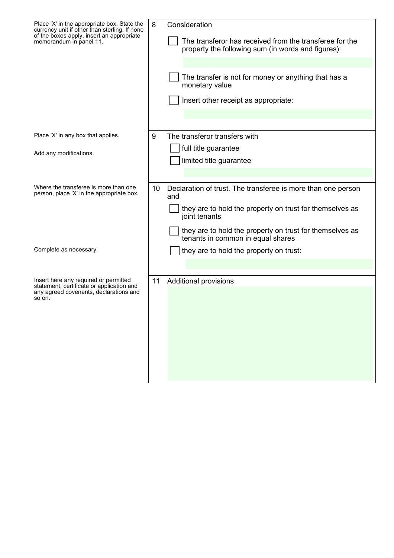| Place 'X' in the appropriate box. State the<br>currency unit if other than sterling. If none<br>of the boxes apply, insert an appropriate<br>memorandum in panel 11. | 8  | Consideration<br>The transferor has received from the transferee for the<br>property the following sum (in words and figures):<br>The transfer is not for money or anything that has a<br>monetary value<br>Insert other receipt as appropriate: |
|----------------------------------------------------------------------------------------------------------------------------------------------------------------------|----|--------------------------------------------------------------------------------------------------------------------------------------------------------------------------------------------------------------------------------------------------|
| Place 'X' in any box that applies.                                                                                                                                   | 9  | The transferor transfers with                                                                                                                                                                                                                    |
| Add any modifications.                                                                                                                                               |    | full title guarantee                                                                                                                                                                                                                             |
|                                                                                                                                                                      |    | limited title guarantee                                                                                                                                                                                                                          |
|                                                                                                                                                                      |    |                                                                                                                                                                                                                                                  |
| Where the transferee is more than one<br>person, place 'X' in the appropriate box.                                                                                   | 10 | Declaration of trust. The transferee is more than one person<br>and                                                                                                                                                                              |
|                                                                                                                                                                      |    | they are to hold the property on trust for themselves as<br>joint tenants                                                                                                                                                                        |
|                                                                                                                                                                      |    | they are to hold the property on trust for themselves as<br>tenants in common in equal shares                                                                                                                                                    |
| Complete as necessary.                                                                                                                                               |    | they are to hold the property on trust:                                                                                                                                                                                                          |
|                                                                                                                                                                      |    |                                                                                                                                                                                                                                                  |
| Insert here any required or permitted<br>statement, certificate or application and<br>any agreed covenants, declarations and<br>so on.                               | 11 | <b>Additional provisions</b>                                                                                                                                                                                                                     |